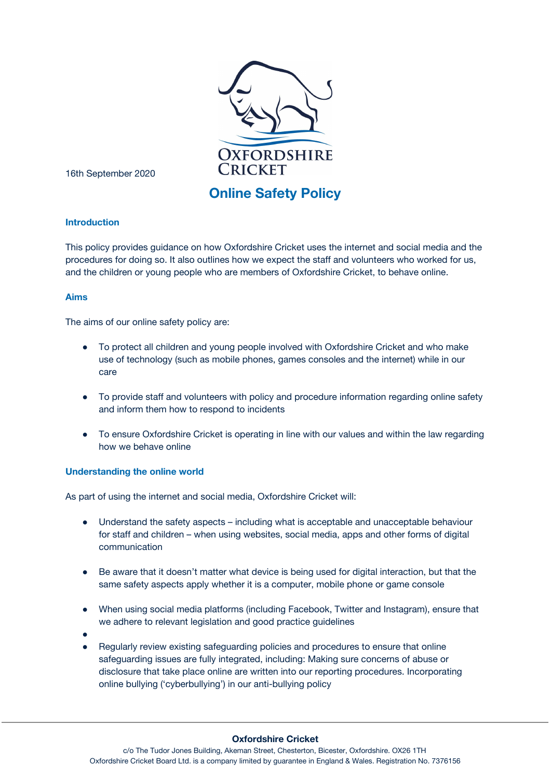

16th September 2020

# **Online Safety Policy**

# **Introduction**

This policy provides guidance on how Oxfordshire Cricket uses the internet and social media and the procedures for doing so. It also outlines how we expect the staff and volunteers who worked for us, and the children or young people who are members of Oxfordshire Cricket, to behave online.

# **Aims**

The aims of our online safety policy are:

- To protect all children and young people involved with Oxfordshire Cricket and who make use of technology (such as mobile phones, games consoles and the internet) while in our care
- To provide staff and volunteers with policy and procedure information regarding online safety and inform them how to respond to incidents
- To ensure Oxfordshire Cricket is operating in line with our values and within the law regarding how we behave online

## **Understanding the online world**

As part of using the internet and social media, Oxfordshire Cricket will:

- Understand the safety aspects including what is acceptable and unacceptable behaviour for staff and children – when using websites, social media, apps and other forms of digital communication
- Be aware that it doesn't matter what device is being used for digital interaction, but that the same safety aspects apply whether it is a computer, mobile phone or game console
- When using social media platforms (including Facebook, Twitter and Instagram), ensure that we adhere to relevant legislation and good practice guidelines
- ●
- Regularly review existing safeguarding policies and procedures to ensure that online safeguarding issues are fully integrated, including: Making sure concerns of abuse or disclosure that take place online are written into our reporting procedures. Incorporating online bullying ('cyberbullying') in our anti-bullying policy

#### **Oxfordshire Cricket**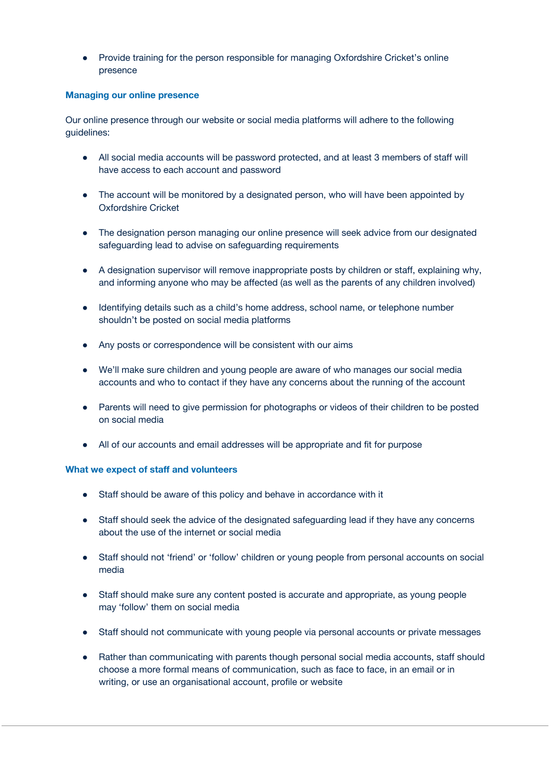● Provide training for the person responsible for managing Oxfordshire Cricket's online presence

## **Managing our online presence**

Our online presence through our website or social media platforms will adhere to the following guidelines:

- All social media accounts will be password protected, and at least 3 members of staff will have access to each account and password
- The account will be monitored by a designated person, who will have been appointed by Oxfordshire Cricket
- The designation person managing our online presence will seek advice from our designated safeguarding lead to advise on safeguarding requirements
- A designation supervisor will remove inappropriate posts by children or staff, explaining why, and informing anyone who may be affected (as well as the parents of any children involved)
- Identifying details such as a child's home address, school name, or telephone number shouldn't be posted on social media platforms
- Any posts or correspondence will be consistent with our aims
- We'll make sure children and young people are aware of who manages our social media accounts and who to contact if they have any concerns about the running of the account
- Parents will need to give permission for photographs or videos of their children to be posted on social media
- All of our accounts and email addresses will be appropriate and fit for purpose

#### **What we expect of staff and volunteers**

- Staff should be aware of this policy and behave in accordance with it
- Staff should seek the advice of the designated safeguarding lead if they have any concerns about the use of the internet or social media
- Staff should not 'friend' or 'follow' children or young people from personal accounts on social media
- Staff should make sure any content posted is accurate and appropriate, as young people may 'follow' them on social media
- Staff should not communicate with young people via personal accounts or private messages
- Rather than communicating with parents though personal social media accounts, staff should choose a more formal means of communication, such as face to face, in an email or in writing, or use an organisational account, profile or website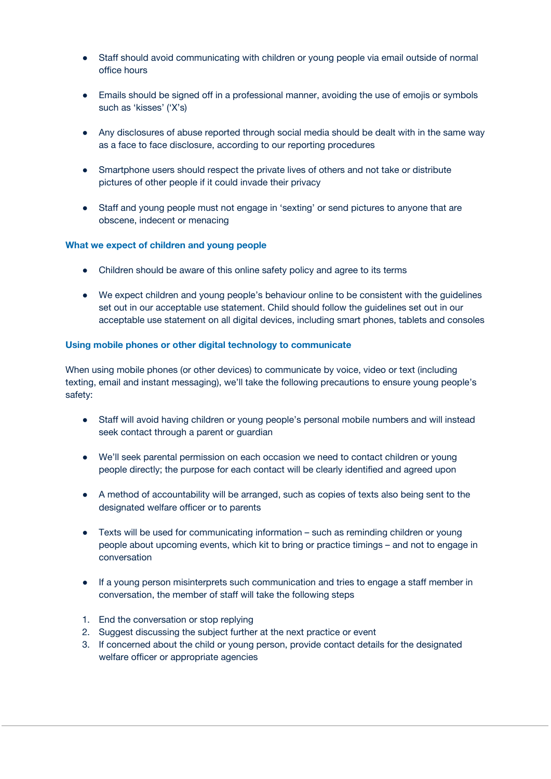- Staff should avoid communicating with children or young people via email outside of normal office hours
- Emails should be signed off in a professional manner, avoiding the use of emojis or symbols such as 'kisses' ('X's)
- Any disclosures of abuse reported through social media should be dealt with in the same way as a face to face disclosure, according to our reporting procedures
- Smartphone users should respect the private lives of others and not take or distribute pictures of other people if it could invade their privacy
- Staff and young people must not engage in 'sexting' or send pictures to anyone that are obscene, indecent or menacing

## **What we expect of children and young people**

- Children should be aware of this online safety policy and agree to its terms
- We expect children and young people's behaviour online to be consistent with the guidelines set out in our acceptable use statement. Child should follow the guidelines set out in our acceptable use statement on all digital devices, including smart phones, tablets and consoles

## **Using mobile phones or other digital technology to communicate**

When using mobile phones (or other devices) to communicate by voice, video or text (including texting, email and instant messaging), we'll take the following precautions to ensure young people's safety:

- Staff will avoid having children or young people's personal mobile numbers and will instead seek contact through a parent or guardian
- We'll seek parental permission on each occasion we need to contact children or young people directly; the purpose for each contact will be clearly identified and agreed upon
- A method of accountability will be arranged, such as copies of texts also being sent to the designated welfare officer or to parents
- Texts will be used for communicating information such as reminding children or young people about upcoming events, which kit to bring or practice timings – and not to engage in conversation
- If a young person misinterprets such communication and tries to engage a staff member in conversation, the member of staff will take the following steps
- 1. End the conversation or stop replying
- 2. Suggest discussing the subject further at the next practice or event
- 3. If concerned about the child or young person, provide contact details for the designated welfare officer or appropriate agencies